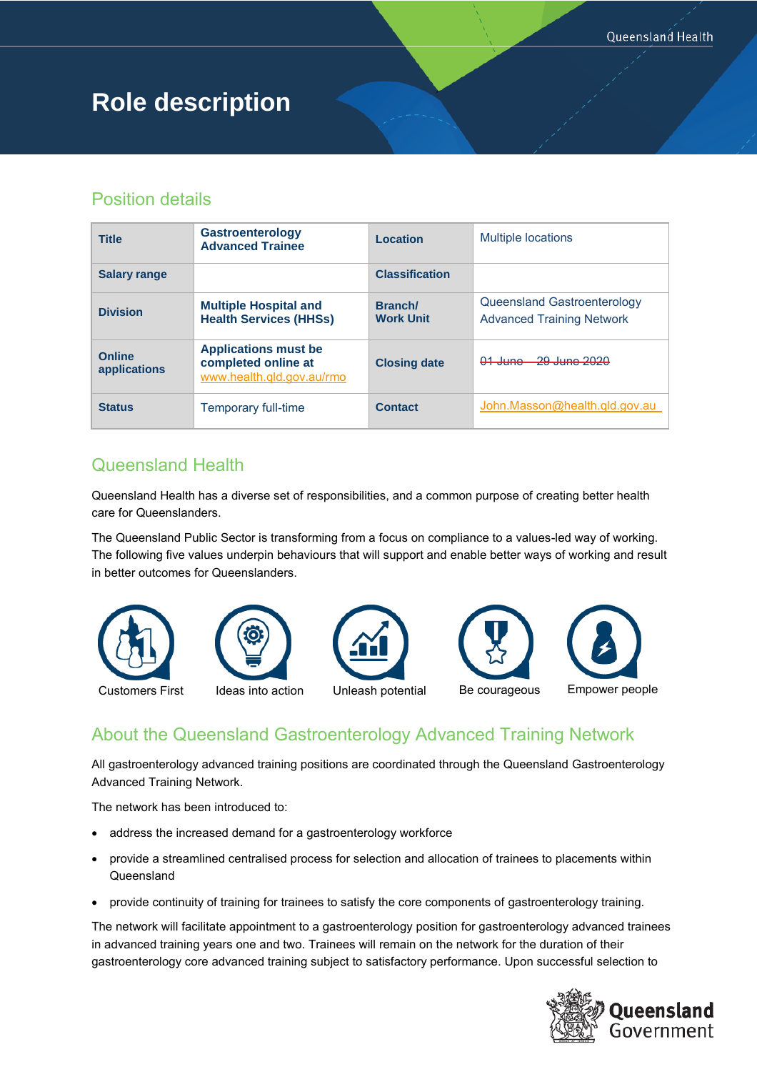# **Role description**

# Position details

| <b>Title</b>                  | <b>Gastroenterology</b><br><b>Advanced Trainee</b>                              | Location                    | <b>Multiple locations</b>                                       |
|-------------------------------|---------------------------------------------------------------------------------|-----------------------------|-----------------------------------------------------------------|
| <b>Salary range</b>           |                                                                                 | <b>Classification</b>       |                                                                 |
| <b>Division</b>               | <b>Multiple Hospital and</b><br><b>Health Services (HHSs)</b>                   | Branch/<br><b>Work Unit</b> | Queensland Gastroenterology<br><b>Advanced Training Network</b> |
| <b>Online</b><br>applications | <b>Applications must be</b><br>completed online at<br>www.health.gld.gov.au/rmo | <b>Closing date</b>         | 01 June - 29 June 2020                                          |
| <b>Status</b>                 | Temporary full-time                                                             | <b>Contact</b>              | John.Masson@health.qld.gov.au                                   |

# Queensland Health

Queensland Health has a diverse set of responsibilities, and a common purpose of creating better health care for Queenslanders.

The Queensland Public Sector is transforming from a focus on compliance to a values-led way of working. The following five values underpin behaviours that will support and enable better ways of working and result in better outcomes for Queenslanders.











Customers First Ideas into action Unleash potential Be courageous Empower people

# About the Queensland Gastroenterology Advanced Training Network

All gastroenterology advanced training positions are coordinated through the Queensland Gastroenterology Advanced Training Network.

The network has been introduced to:

- address the increased demand for a gastroenterology workforce
- provide a streamlined centralised process for selection and allocation of trainees to placements within Queensland
- provide continuity of training for trainees to satisfy the core components of gastroenterology training.

The network will facilitate appointment to a gastroenterology position for gastroenterology advanced trainees in advanced training years one and two. Trainees will remain on the network for the duration of their gastroenterology core advanced training subject to satisfactory performance. Upon successful selection to

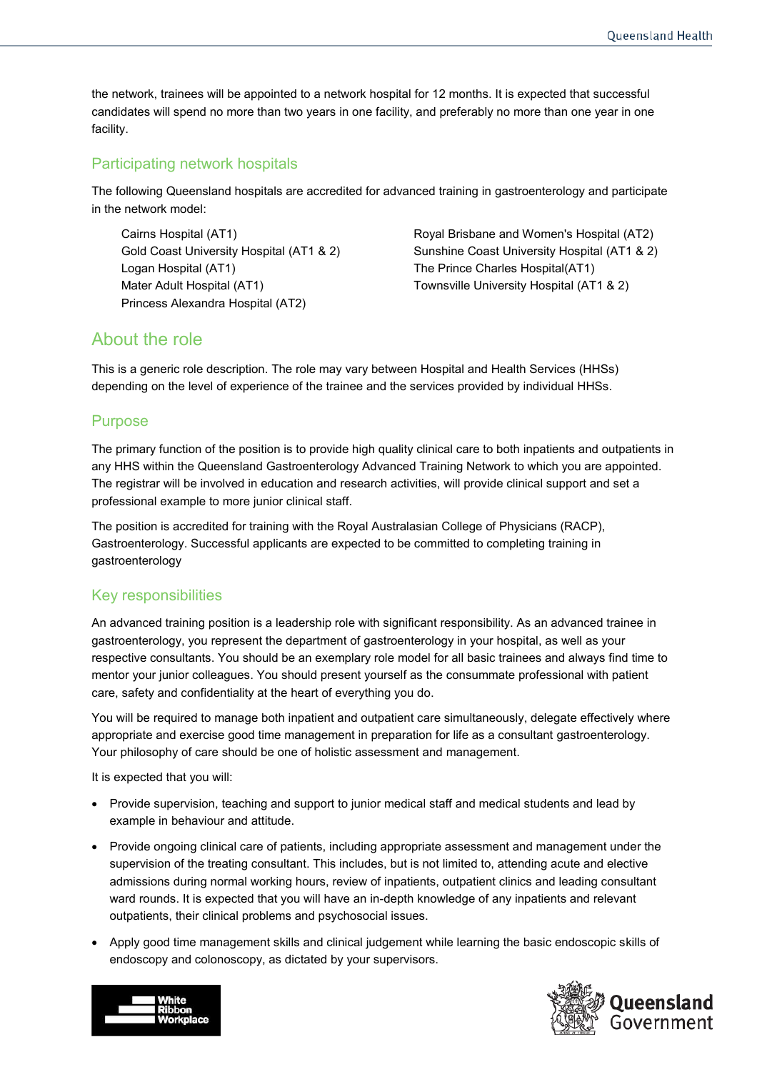the network, trainees will be appointed to a network hospital for 12 months. It is expected that successful candidates will spend no more than two years in one facility, and preferably no more than one year in one facility.

## Participating network hospitals

The following Queensland hospitals are accredited for advanced training in gastroenterology and participate in the network model:

Cairns Hospital (AT1) Gold Coast University Hospital (AT1 & 2) Logan Hospital (AT1) Mater Adult Hospital (AT1) Princess Alexandra Hospital (AT2)

Royal Brisbane and Women's Hospital (AT2) Sunshine Coast University Hospital (AT1 & 2) The Prince Charles Hospital(AT1) Townsville University Hospital (AT1 & 2)

# About the role

This is a generic role description. The role may vary between Hospital and Health Services (HHSs) depending on the level of experience of the trainee and the services provided by individual HHSs.

### Purpose

The primary function of the position is to provide high quality clinical care to both inpatients and outpatients in any HHS within the Queensland Gastroenterology Advanced Training Network to which you are appointed. The registrar will be involved in education and research activities, will provide clinical support and set a professional example to more junior clinical staff.

The position is accredited for training with the Royal Australasian College of Physicians (RACP), Gastroenterology. Successful applicants are expected to be committed to completing training in gastroenterology

### Key responsibilities

An advanced training position is a leadership role with significant responsibility. As an advanced trainee in gastroenterology, you represent the department of gastroenterology in your hospital, as well as your respective consultants. You should be an exemplary role model for all basic trainees and always find time to mentor your junior colleagues. You should present yourself as the consummate professional with patient care, safety and confidentiality at the heart of everything you do.

You will be required to manage both inpatient and outpatient care simultaneously, delegate effectively where appropriate and exercise good time management in preparation for life as a consultant gastroenterology. Your philosophy of care should be one of holistic assessment and management.

It is expected that you will:

- Provide supervision, teaching and support to junior medical staff and medical students and lead by example in behaviour and attitude.
- Provide ongoing clinical care of patients, including appropriate assessment and management under the supervision of the treating consultant. This includes, but is not limited to, attending acute and elective admissions during normal working hours, review of inpatients, outpatient clinics and leading consultant ward rounds. It is expected that you will have an in-depth knowledge of any inpatients and relevant outpatients, their clinical problems and psychosocial issues.
- Apply good time management skills and clinical judgement while learning the basic endoscopic skills of endoscopy and colonoscopy, as dictated by your supervisors.



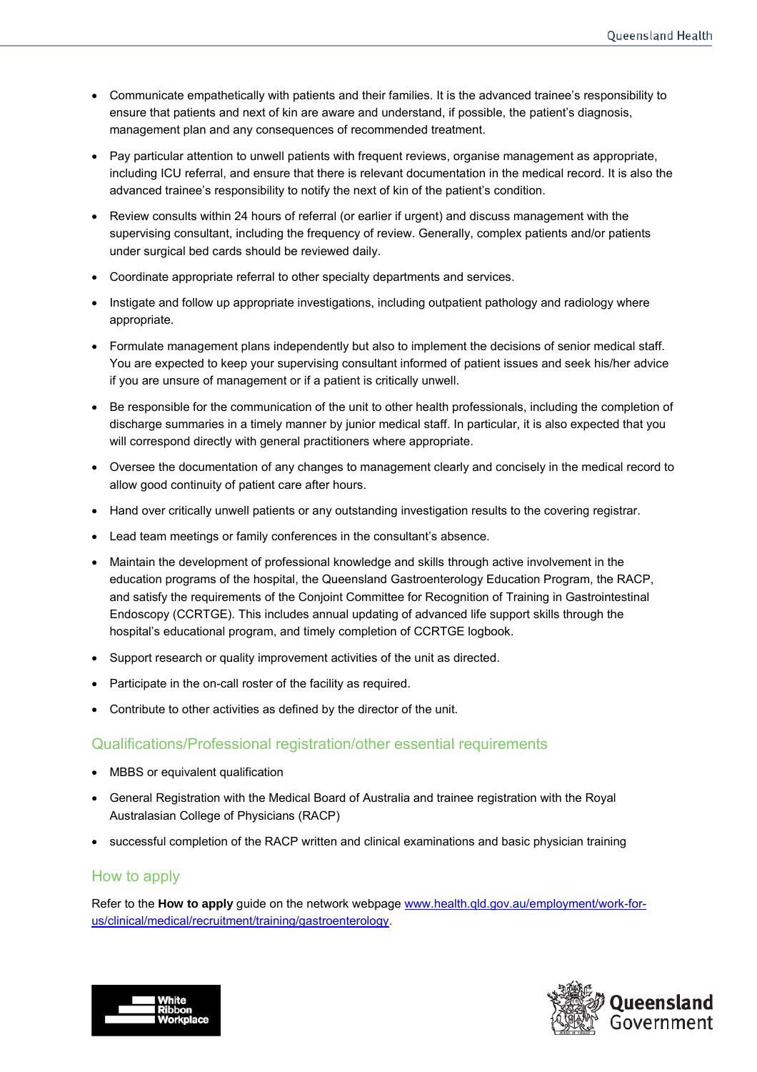- Communicate empathetically with patients and their families. It is the advanced trainee's responsibility to ensure that patients and next of kin are aware and understand, if possible, the patient's diagnosis, management plan and any consequences of recommended treatment.
- Pay particular attention to unwell patients with frequent reviews, organise management as appropriate, including ICU referral, and ensure that there is relevant documentation in the medical record. It is also the advanced trainee's responsibility to notify the next of kin of the patient's condition.
- Review consults within 24 hours of referral (or earlier if urgent) and discuss management with the supervising consultant, including the frequency of review. Generally, complex patients and/or patients under surgical bed cards should be reviewed daily.
- Coordinate appropriate referral to other specialty departments and services.
- Instigate and follow up appropriate investigations, including outpatient pathology and radiology where appropriate.
- Formulate management plans independently but also to implement the decisions of senior medical staff. You are expected to keep your supervising consultant informed of patient issues and seek his/her advice if you are unsure of management or if a patient is critically unwell.
- Be responsible for the communication of the unit to other health professionals, including the completion of discharge summaries in a timely manner by junior medical staff. In particular, it is also expected that you will correspond directly with general practitioners where appropriate.
- Oversee the documentation of any changes to management clearly and concisely in the medical record to allow good continuity of patient care after hours.
- Hand over critically unwell patients or any outstanding investigation results to the covering registrar.
- Lead team meetings or family conferences in the consultant's absence.
- Maintain the development of professional knowledge and skills through active involvement in the education programs of the hospital, the Queensland Gastroenterology Education Program, the RACP, and satisfy the requirements of the Conjoint Committee for Recognition of Training in Gastrointestinal Endoscopy (CCRTGE). This includes annual updating of advanced life support skills through the hospital's educational program, and timely completion of CCRTGE logbook.
- Support research or quality improvement activities of the unit as directed.
- Participate in the on-call roster of the facility as required.
- Contribute to other activities as defined by the director of the unit.

# Qualifications/Professional registration/other essential requirements

- MBBS or equivalent qualification
- General Registration with the Medical Board of Australia and trainee registration with the Royal Australasian College of Physicians (RACP)
- successful completion of the RACP written and clinical examinations and basic physician training

### How to apply

Refer to the **How to apply** guide on the network webpage [www.health.qld.gov.au/employment/work-for](http://www.health.qld.gov.au/employment/work-for-us/clinical/medical/recruitment/training/gastroenterology)[us/clinical/medical/recruitment/training/gastroenterology.](http://www.health.qld.gov.au/employment/work-for-us/clinical/medical/recruitment/training/gastroenterology)